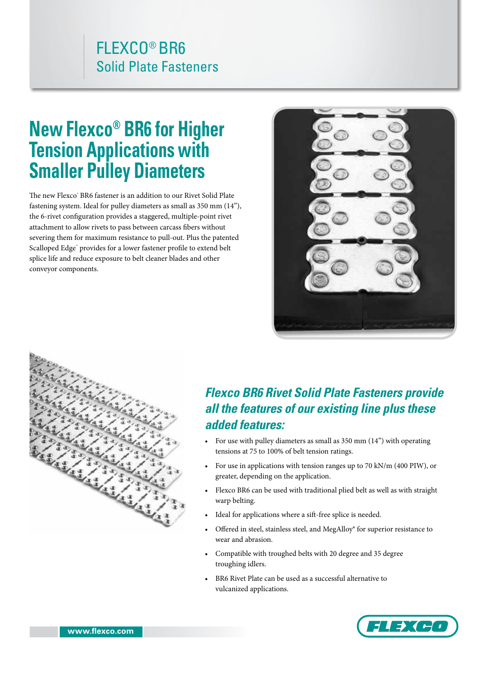# FLEXCO® BR6 Solid Plate Fasteners

# **New Flexco® BR6 for Higher Tension Applications with Smaller Pulley Diameters**

The new Flexco $^{\circ}$  BR6 fastener is an addition to our Rivet Solid Plate fastening system. Ideal for pulley diameters as small as 350 mm (14"), the 6-rivet configuration provides a staggered, multiple-point rivet attachment to allow rivets to pass between carcass fibers without severing them for maximum resistance to pull-out. Plus the patented Scalloped Edge™ provides for a lower fastener profile to extend belt splice life and reduce exposure to belt cleaner blades and other conveyor components.





## *Flexco BR6 Rivet Solid Plate Fasteners provide all the features of our existing line plus these added features:*

- For use with pulley diameters as small as 350 mm (14") with operating tensions at 75 to 100% of belt tension ratings.
- For use in applications with tension ranges up to 70 kN/m (400 PIW), or greater, depending on the application.
- Flexco BR6 can be used with traditional plied belt as well as with straight warp belting.
- Ideal for applications where a sift-free splice is needed.
- Offered in steel, stainless steel, and MegAlloy® for superior resistance to wear and abrasion.
- Compatible with troughed belts with 20 degree and 35 degree troughing idlers.
- BR6 Rivet Plate can be used as a successful alternative to vulcanized applications.